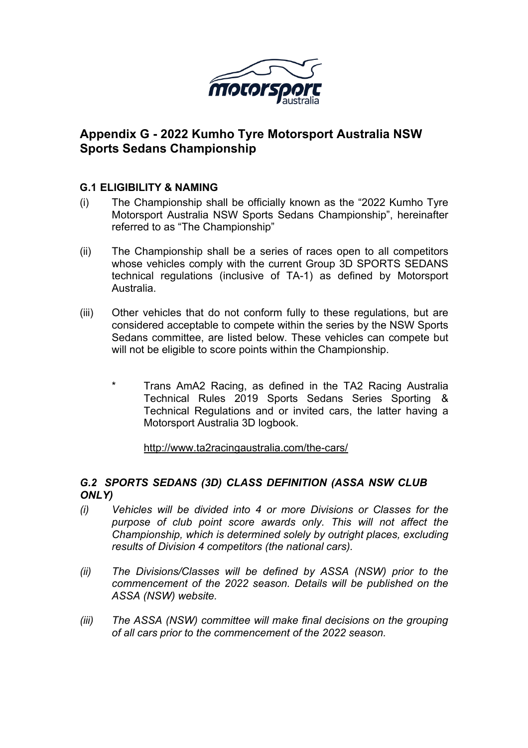

# **Appendix G - 2022 Kumho Tyre Motorsport Australia NSW Sports Sedans Championship**

## **G.1 ELIGIBILITY & NAMING**

- (i) The Championship shall be officially known as the "2022 Kumho Tyre Motorsport Australia NSW Sports Sedans Championship", hereinafter referred to as "The Championship"
- (ii) The Championship shall be a series of races open to all competitors whose vehicles comply with the current Group 3D SPORTS SEDANS technical regulations (inclusive of TA-1) as defined by Motorsport Australia.
- (iii) Other vehicles that do not conform fully to these regulations, but are considered acceptable to compete within the series by the NSW Sports Sedans committee, are listed below. These vehicles can compete but will not be eligible to score points within the Championship.
	- Trans AmA2 Racing, as defined in the TA2 Racing Australia Technical Rules 2019 Sports Sedans Series Sporting & Technical Regulations and or invited cars, the latter having a Motorsport Australia 3D logbook.

http://www.ta2racingaustralia.com/the-cars/

## *G.2 SPORTS SEDANS (3D) CLASS DEFINITION (ASSA NSW CLUB ONLY)*

- *(i) Vehicles will be divided into 4 or more Divisions or Classes for the purpose of club point score awards only. This will not affect the Championship, which is determined solely by outright places, excluding results of Division 4 competitors (the national cars).*
- *(ii) The Divisions/Classes will be defined by ASSA (NSW) prior to the commencement of the 2022 season. Details will be published on the ASSA (NSW) website.*
- *(iii) The ASSA (NSW) committee will make final decisions on the grouping of all cars prior to the commencement of the 2022 season.*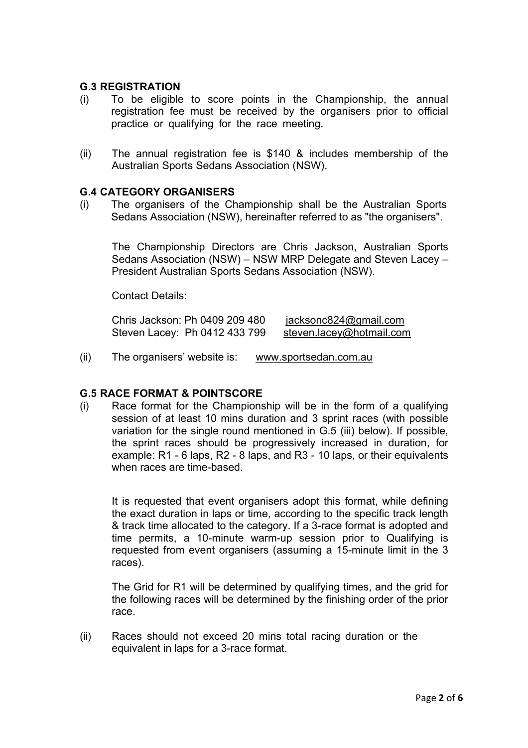### **G.3 REGISTRATION**

- (i) To be eligible to score points in the Championship, the annual registration fee must be received by the organisers prior to official practice or qualifying for the race meeting.
- (ii) The annual registration fee is \$140 & includes membership of the Australian Sports Sedans Association (NSW).

#### **G.4 CATEGORY ORGANISERS**

(i) The organisers of the Championship shall be the Australian Sports Sedans Association (NSW), hereinafter referred to as "the organisers".

The Championship Directors are Chris Jackson, Australian Sports Sedans Association (NSW) – NSW MRP Delegate and Steven Lacey – President Australian Sports Sedans Association (NSW).

Contact Details:

| Chris Jackson: Ph 0409 209 480 | jacksonc824@gmail.com    |
|--------------------------------|--------------------------|
| Steven Lacey: Ph 0412 433 799  | steven.lacey@hotmail.com |

(ii) The organisers' website is: www.sportsedan.com.au

#### **G.5 RACE FORMAT & POINTSCORE**

(i) Race format for the Championship will be in the form of a qualifying session of at least 10 mins duration and 3 sprint races (with possible variation for the single round mentioned in G.5 (iii) below). If possible, the sprint races should be progressively increased in duration, for example: R1 - 6 laps, R2 - 8 laps, and R3 - 10 laps, or their equivalents when races are time-based.

It is requested that event organisers adopt this format, while defining the exact duration in laps or time, according to the specific track length & track time allocated to the category. If a 3-race format is adopted and time permits, a 10-minute warm-up session prior to Qualifying is requested from event organisers (assuming a 15-minute limit in the 3 races).

The Grid for R1 will be determined by qualifying times, and the grid for the following races will be determined by the finishing order of the prior race.

(ii) Races should not exceed 20 mins total racing duration or the equivalent in laps for a 3-race format.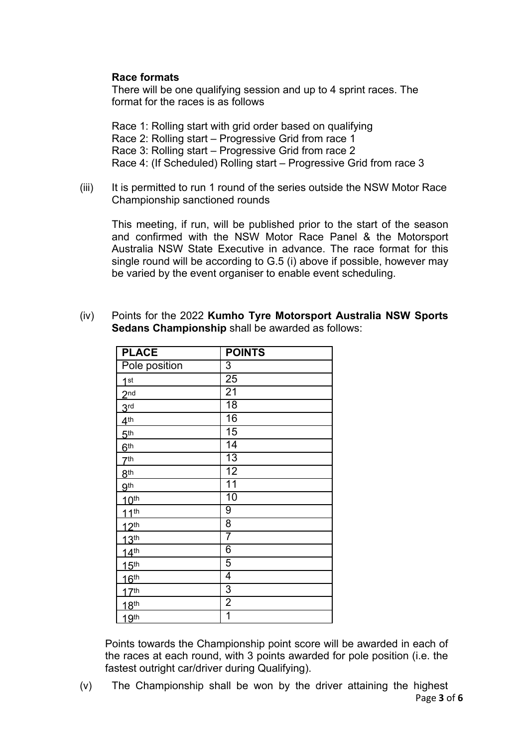## **Race formats**

There will be one qualifying session and up to 4 sprint races. The format for the races is as follows

Race 1: Rolling start with grid order based on qualifying Race 2: Rolling start – Progressive Grid from race 1 Race 3: Rolling start – Progressive Grid from race 2 Race 4: (If Scheduled) Rolling start – Progressive Grid from race 3

(iii) It is permitted to run 1 round of the series outside the NSW Motor Race Championship sanctioned rounds

This meeting, if run, will be published prior to the start of the season and confirmed with the NSW Motor Race Panel & the Motorsport Australia NSW State Executive in advance. The race format for this single round will be according to G.5 (i) above if possible, however may be varied by the event organiser to enable event scheduling.

**Sedans Championship** shall be awarded as follows: **PLACE POINTS** Pole position | 3

(iv) Points for the 2022 **Kumho Tyre Motorsport Australia NSW Sports**

| ┗⌒▽┗             | VIIIIV          |
|------------------|-----------------|
| Pole position    | $\overline{3}$  |
| 1 <sup>st</sup>  | $\overline{25}$ |
| 2 <sub>nd</sub>  | $\overline{21}$ |
| 3 <sup>rd</sup>  | $\overline{18}$ |
| 4 <sup>th</sup>  | 16              |
| 5 <sup>th</sup>  | 15              |
| 6 <sup>th</sup>  | 14              |
| 7 <sup>th</sup>  | $\overline{13}$ |
| 8 <sup>th</sup>  | 12              |
| 9 <sup>th</sup>  | $\overline{11}$ |
| 10 <sup>th</sup> | 10              |
| 11 <sup>th</sup> | $\overline{9}$  |
| 12 <sup>th</sup> | 8               |
| 13 <sup>th</sup> | 7               |
| 14 <sup>th</sup> | 6               |
| 15 <sup>th</sup> | 5               |
| 16 <sup>th</sup> | 4               |
| 17 <sup>th</sup> | 3               |
| 18 <sup>th</sup> | 2               |
| 19 <sup>th</sup> | 1               |
|                  |                 |

Points towards the Championship point score will be awarded in each of the races at each round, with 3 points awarded for pole position (i.e. the fastest outright car/driver during Qualifying).

Page **3** of **6** (v) The Championship shall be won by the driver attaining the highest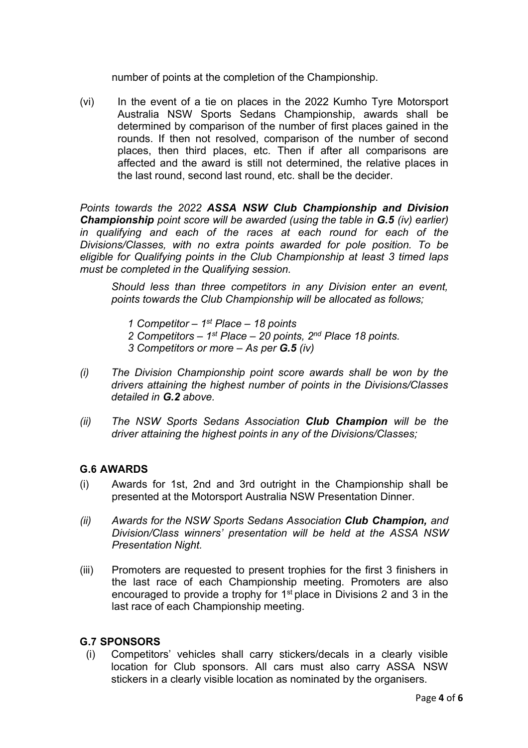number of points at the completion of the Championship.

(vi) In the event of a tie on places in the 2022 Kumho Tyre Motorsport Australia NSW Sports Sedans Championship, awards shall be determined by comparison of the number of first places gained in the rounds. If then not resolved, comparison of the number of second places, then third places, etc. Then if after all comparisons are affected and the award is still not determined, the relative places in the last round, second last round, etc. shall be the decider.

*Points towards the 2022 ASSA NSW Club Championship and Division Championship point score will be awarded (using the table in G.5 (iv) earlier) in qualifying and each of the races at each round for each of the Divisions/Classes, with no extra points awarded for pole position. To be eligible for Qualifying points in the Club Championship at least 3 timed laps must be completed in the Qualifying session.*

*Should less than three competitors in any Division enter an event, points towards the Club Championship will be allocated as follows;*

- *1 Competitor – 1st Place – 18 points*
- *2 Competitors – 1st Place – 20 points, 2nd Place 18 points.*
- *3 Competitors or more – As per G.5 (iv)*
- *(i) The Division Championship point score awards shall be won by the drivers attaining the highest number of points in the Divisions/Classes detailed in G.2 above.*
- *(ii) The NSW Sports Sedans Association Club Champion will be the driver attaining the highest points in any of the Divisions/Classes;*

## **G.6 AWARDS**

- (i) Awards for 1st, 2nd and 3rd outright in the Championship shall be presented at the Motorsport Australia NSW Presentation Dinner.
- *(ii) Awards for the NSW Sports Sedans Association Club Champion, and Division/Class winners' presentation will be held at the ASSA NSW Presentation Night.*
- (iii) Promoters are requested to present trophies for the first 3 finishers in the last race of each Championship meeting. Promoters are also encouraged to provide a trophy for  $1<sup>st</sup>$  place in Divisions 2 and 3 in the last race of each Championship meeting.

#### **G.7 SPONSORS**

(i) Competitors' vehicles shall carry stickers/decals in a clearly visible location for Club sponsors. All cars must also carry ASSA NSW stickers in a clearly visible location as nominated by the organisers.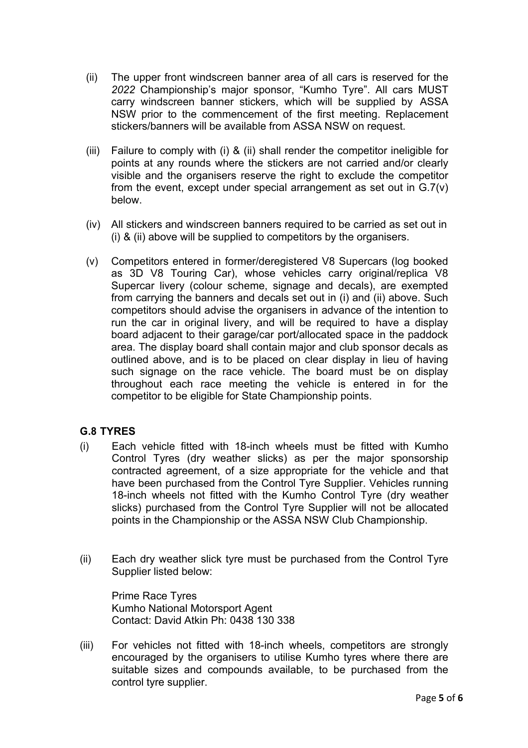- (ii) The upper front windscreen banner area of all cars is reserved for the *2022* Championship's major sponsor, "Kumho Tyre". All cars MUST carry windscreen banner stickers, which will be supplied by ASSA NSW prior to the commencement of the first meeting. Replacement stickers/banners will be available from ASSA NSW on request.
- (iii) Failure to comply with (i) & (ii) shall render the competitor ineligible for points at any rounds where the stickers are not carried and/or clearly visible and the organisers reserve the right to exclude the competitor from the event, except under special arrangement as set out in  $G.7(v)$ below.
- (iv) All stickers and windscreen banners required to be carried as set out in (i) & (ii) above will be supplied to competitors by the organisers.
- (v) Competitors entered in former/deregistered V8 Supercars (log booked as 3D V8 Touring Car), whose vehicles carry original/replica V8 Supercar livery (colour scheme, signage and decals), are exempted from carrying the banners and decals set out in (i) and (ii) above. Such competitors should advise the organisers in advance of the intention to run the car in original livery, and will be required to have a display board adjacent to their garage/car port/allocated space in the paddock area. The display board shall contain major and club sponsor decals as outlined above, and is to be placed on clear display in lieu of having such signage on the race vehicle. The board must be on display throughout each race meeting the vehicle is entered in for the competitor to be eligible for State Championship points.

## **G.8 TYRES**

- (i) Each vehicle fitted with 18-inch wheels must be fitted with Kumho Control Tyres (dry weather slicks) as per the major sponsorship contracted agreement, of a size appropriate for the vehicle and that have been purchased from the Control Tyre Supplier. Vehicles running 18-inch wheels not fitted with the Kumho Control Tyre (dry weather slicks) purchased from the Control Tyre Supplier will not be allocated points in the Championship or the ASSA NSW Club Championship.
- (ii) Each dry weather slick tyre must be purchased from the Control Tyre Supplier listed below:

Prime Race Tyres Kumho National Motorsport Agent Contact: David Atkin Ph: 0438 130 338

(iii) For vehicles not fitted with 18-inch wheels, competitors are strongly encouraged by the organisers to utilise Kumho tyres where there are suitable sizes and compounds available, to be purchased from the control tyre supplier.